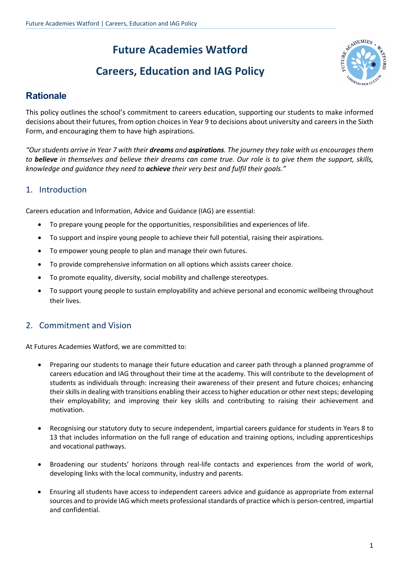# **Future Academies Watford**

# **Careers, Education and IAG Policy**



## **Rationale**

This policy outlines the school's commitment to careers education, supporting our students to make informed decisions about their futures, from option choices in Year 9 to decisions about university and careers in the Sixth Form, and encouraging them to have high aspirations.

*"Our students arrive in Year 7 with their dreams and aspirations. The journey they take with us encourages them to believe in themselves and believe their dreams can come true. Our role is to give them the support, skills, knowledge and guidance they need to achieve their very best and fulfil their goals."* 

### 1. Introduction

Careers education and Information, Advice and Guidance (IAG) are essential:

- To prepare young people for the opportunities, responsibilities and experiences of life.
- To support and inspire young people to achieve their full potential, raising their aspirations.
- To empower young people to plan and manage their own futures.
- To provide comprehensive information on all options which assists career choice.
- To promote equality, diversity, social mobility and challenge stereotypes.
- To support young people to sustain employability and achieve personal and economic wellbeing throughout their lives.

#### 2. Commitment and Vision

At Futures Academies Watford, we are committed to:

- Preparing our students to manage their future education and career path through a planned programme of careers education and IAG throughout their time at the academy. This will contribute to the development of students as individuals through: increasing their awareness of their present and future choices; enhancing their skills in dealing with transitions enabling their access to higher education or other next steps; developing their employability; and improving their key skills and contributing to raising their achievement and motivation.
- Recognising our statutory duty to secure independent, impartial careers guidance for students in Years 8 to 13 that includes information on the full range of education and training options, including apprenticeships and vocational pathways.
- Broadening our students' horizons through real-life contacts and experiences from the world of work, developing links with the local community, industry and parents.
- Ensuring all students have access to independent careers advice and guidance as appropriate from external sources and to provide IAG which meets professional standards of practice which is person-centred, impartial and confidential.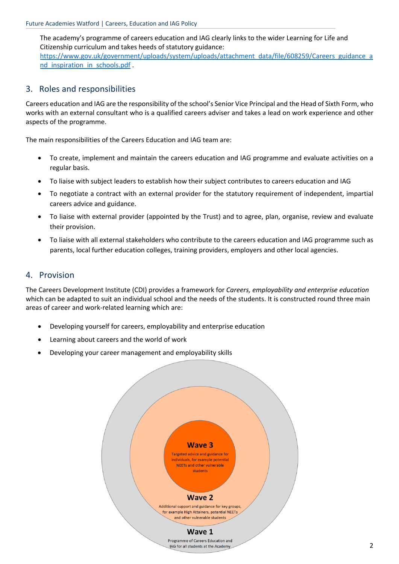The academy's programme of careers education and IAG clearly links to the wider Learning for Life and Citizenship curriculum and takes heeds of statutory guidance: https://www.gov.uk/government/uploads/system/uploads/attachment\_data/file/608259/Careers\_guidance\_a nd inspiration in schools.pdf

#### 3. Roles and responsibilities

Careers education and IAG are the responsibility of the school's Senior Vice Principal and the Head of Sixth Form, who works with an external consultant who is a qualified careers adviser and takes a lead on work experience and other aspects of the programme.

The main responsibilities of the Careers Education and IAG team are:

- To create, implement and maintain the careers education and IAG programme and evaluate activities on a regular basis.
- To liaise with subject leaders to establish how their subject contributes to careers education and IAG
- To negotiate a contract with an external provider for the statutory requirement of independent, impartial careers advice and guidance.
- To liaise with external provider (appointed by the Trust) and to agree, plan, organise, review and evaluate their provision.
- To liaise with all external stakeholders who contribute to the careers education and IAG programme such as parents, local further education colleges, training providers, employers and other local agencies.

#### 4. Provision

The Careers Development Institute (CDI) provides a framework for *Careers, employability and enterprise education* which can be adapted to suit an individual school and the needs of the students. It is constructed round three main areas of career and work-related learning which are:

- Developing yourself for careers, employability and enterprise education
- Learning about careers and the world of work
- Developing your career management and employability skills

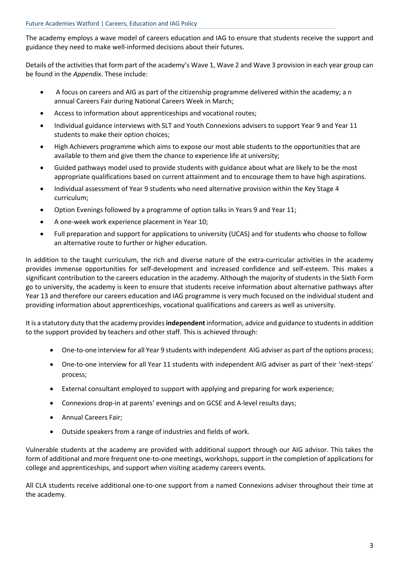The academy employs a wave model of careers education and IAG to ensure that students receive the support and guidance they need to make well-informed decisions about their futures.

Details of the activities that form part of the academy's Wave 1, Wave 2 and Wave 3 provision in each year group can be found in the *Appendix*. These include:

- A focus on careers and AIG as part of the citizenship programme delivered within the academy; a n annual Careers Fair during National Careers Week in March;
- Access to information about apprenticeships and vocational routes;
- Individual guidance interviews with SLT and Youth Connexions advisers to support Year 9 and Year 11 students to make their option choices;
- High Achievers programme which aims to expose our most able students to the opportunities that are available to them and give them the chance to experience life at university;
- Guided pathways model used to provide students with guidance about what are likely to be the most appropriate qualifications based on current attainment and to encourage them to have high aspirations.
- Individual assessment of Year 9 students who need alternative provision within the Key Stage 4 curriculum;
- Option Evenings followed by a programme of option talks in Years 9 and Year 11;
- A one-week work experience placement in Year 10;
- Full preparation and support for applications to university (UCAS) and for students who choose to follow an alternative route to further or higher education.

In addition to the taught curriculum, the rich and diverse nature of the extra-curricular activities in the academy provides immense opportunities for self-development and increased confidence and self-esteem. This makes a significant contribution to the careers education in the academy. Although the majority of students in the Sixth Form go to university, the academy is keen to ensure that students receive information about alternative pathways after Year 13 and therefore our careers education and IAG programme is very much focused on the individual student and providing information about apprenticeships, vocational qualifications and careers as well as university.

It is a statutory duty that the academy provides **independent**information, advice and guidance to students in addition to the support provided by teachers and other staff. This is achieved through:

- One-to-one interview for all Year 9 students with independent AIG adviser as part of the options process;
- One-to-one interview for all Year 11 students with independent AIG adviser as part of their 'next-steps' process;
- External consultant employed to support with applying and preparing for work experience;
- Connexions drop-in at parents' evenings and on GCSE and A-level results days;
- Annual Careers Fair;
- Outside speakers from a range of industries and fields of work.

Vulnerable students at the academy are provided with additional support through our AIG advisor. This takes the form of additional and more frequent one-to-one meetings, workshops, support in the completion of applications for college and apprenticeships, and support when visiting academy careers events.

All CLA students receive additional one-to-one support from a named Connexions adviser throughout their time at the academy.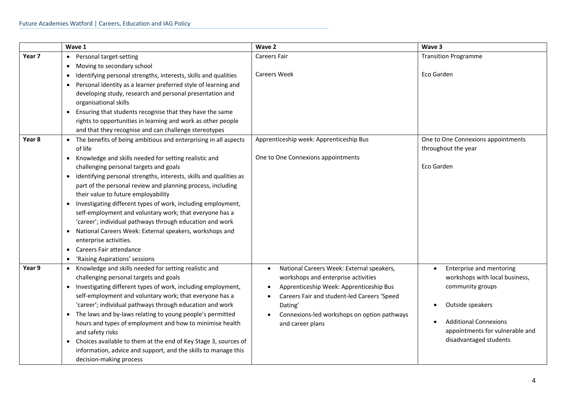|        | Wave 1                                                                                                                                                                                                                                                                                                                                                                                                                                                                                                                                                                                                                                                                                                                                                   | Wave 2                                                                                                                                                                                                                                                                             | Wave 3                                                                                                                                                                                          |
|--------|----------------------------------------------------------------------------------------------------------------------------------------------------------------------------------------------------------------------------------------------------------------------------------------------------------------------------------------------------------------------------------------------------------------------------------------------------------------------------------------------------------------------------------------------------------------------------------------------------------------------------------------------------------------------------------------------------------------------------------------------------------|------------------------------------------------------------------------------------------------------------------------------------------------------------------------------------------------------------------------------------------------------------------------------------|-------------------------------------------------------------------------------------------------------------------------------------------------------------------------------------------------|
| Year 7 | Personal target-setting<br>$\bullet$                                                                                                                                                                                                                                                                                                                                                                                                                                                                                                                                                                                                                                                                                                                     | <b>Careers Fair</b>                                                                                                                                                                                                                                                                | <b>Transition Programme</b>                                                                                                                                                                     |
|        | Moving to secondary school<br>٠<br>Identifying personal strengths, interests, skills and qualities<br>٠<br>Personal identity as a learner preferred style of learning and<br>$\bullet$<br>developing study, research and personal presentation and<br>organisational skills<br>Ensuring that students recognise that they have the same<br>$\bullet$<br>rights to opportunities in learning and work as other people<br>and that they recognise and can challenge stereotypes                                                                                                                                                                                                                                                                            | <b>Careers Week</b>                                                                                                                                                                                                                                                                | Eco Garden                                                                                                                                                                                      |
| Year 8 | • The benefits of being ambitious and enterprising in all aspects<br>of life<br>Knowledge and skills needed for setting realistic and<br>$\bullet$<br>challenging personal targets and goals<br>Identifying personal strengths, interests, skills and qualities as<br>part of the personal review and planning process, including<br>their value to future employability<br>Investigating different types of work, including employment,<br>self-employment and voluntary work; that everyone has a<br>'career'; individual pathways through education and work<br>National Careers Week: External speakers, workshops and<br>$\bullet$<br>enterprise activities.<br>Careers Fair attendance<br>$\bullet$<br>'Raising Aspirations' sessions<br>$\bullet$ | Apprenticeship week: Apprenticeship Bus<br>One to One Connexions appointments                                                                                                                                                                                                      | One to One Connexions appointments<br>throughout the year<br>Eco Garden                                                                                                                         |
| Year 9 | • Knowledge and skills needed for setting realistic and<br>challenging personal targets and goals<br>Investigating different types of work, including employment,<br>$\bullet$<br>self-employment and voluntary work; that everyone has a<br>'career'; individual pathways through education and work<br>The laws and by-laws relating to young people's permitted<br>hours and types of employment and how to minimise health<br>and safety risks<br>Choices available to them at the end of Key Stage 3, sources of<br>$\bullet$<br>information, advice and support, and the skills to manage this<br>decision-making process                                                                                                                          | National Careers Week: External speakers,<br>$\bullet$<br>workshops and enterprise activities<br>Apprenticeship Week: Apprenticeship Bus<br>Careers Fair and student-led Careers 'Speed<br>$\bullet$<br>Dating'<br>Connexions-led workshops on option pathways<br>and career plans | Enterprise and mentoring<br>workshops with local business,<br>community groups<br>Outside speakers<br><b>Additional Connexions</b><br>appointments for vulnerable and<br>disadvantaged students |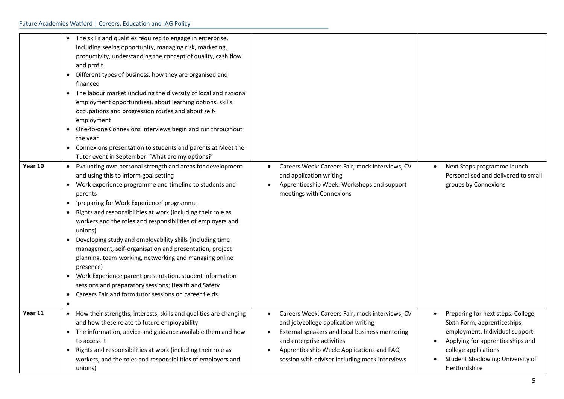| Year 10 | The skills and qualities required to engage in enterprise,<br>including seeing opportunity, managing risk, marketing,<br>productivity, understanding the concept of quality, cash flow<br>and profit<br>Different types of business, how they are organised and<br>$\bullet$<br>financed<br>The labour market (including the diversity of local and national<br>$\bullet$<br>employment opportunities), about learning options, skills,<br>occupations and progression routes and about self-<br>employment<br>One-to-one Connexions interviews begin and run throughout<br>$\bullet$<br>the year<br>• Connexions presentation to students and parents at Meet the<br>Tutor event in September: 'What are my options?'<br>Evaluating own personal strength and areas for development<br>$\bullet$<br>and using this to inform goal setting<br>Work experience programme and timeline to students and<br>$\bullet$<br>parents<br>'preparing for Work Experience' programme<br>$\bullet$<br>Rights and responsibilities at work (including their role as<br>workers and the roles and responsibilities of employers and<br>unions)<br>Developing study and employability skills (including time<br>management, self-organisation and presentation, project-<br>planning, team-working, networking and managing online<br>presence)<br>Work Experience parent presentation, student information<br>sessions and preparatory sessions; Health and Safety<br>Careers Fair and form tutor sessions on career fields<br>$\bullet$ | Careers Week: Careers Fair, mock interviews, CV<br>$\bullet$<br>and application writing<br>Apprenticeship Week: Workshops and support<br>meetings with Connexions                                                 | Next Steps programme launch:<br>Personalised and delivered to small<br>groups by Connexions                                                                                      |
|---------|----------------------------------------------------------------------------------------------------------------------------------------------------------------------------------------------------------------------------------------------------------------------------------------------------------------------------------------------------------------------------------------------------------------------------------------------------------------------------------------------------------------------------------------------------------------------------------------------------------------------------------------------------------------------------------------------------------------------------------------------------------------------------------------------------------------------------------------------------------------------------------------------------------------------------------------------------------------------------------------------------------------------------------------------------------------------------------------------------------------------------------------------------------------------------------------------------------------------------------------------------------------------------------------------------------------------------------------------------------------------------------------------------------------------------------------------------------------------------------------------------------------------------|-------------------------------------------------------------------------------------------------------------------------------------------------------------------------------------------------------------------|----------------------------------------------------------------------------------------------------------------------------------------------------------------------------------|
| Year 11 | $\bullet$<br>How their strengths, interests, skills and qualities are changing<br>$\bullet$                                                                                                                                                                                                                                                                                                                                                                                                                                                                                                                                                                                                                                                                                                                                                                                                                                                                                                                                                                                                                                                                                                                                                                                                                                                                                                                                                                                                                                | Careers Week: Careers Fair, mock interviews, CV                                                                                                                                                                   | Preparing for next steps: College,                                                                                                                                               |
|         | and how these relate to future employability<br>The information, advice and guidance available them and how<br>$\bullet$<br>to access it<br>Rights and responsibilities at work (including their role as<br>workers, and the roles and responsibilities of employers and<br>unions)                                                                                                                                                                                                                                                                                                                                                                                                                                                                                                                                                                                                                                                                                                                                                                                                                                                                                                                                                                                                                                                                                                                                                                                                                                        | and job/college application writing<br>External speakers and local business mentoring<br>and enterprise activities<br>Apprenticeship Week: Applications and FAQ<br>session with adviser including mock interviews | Sixth Form, apprenticeships,<br>employment. Individual support.<br>Applying for apprenticeships and<br>college applications<br>Student Shadowing: University of<br>Hertfordshire |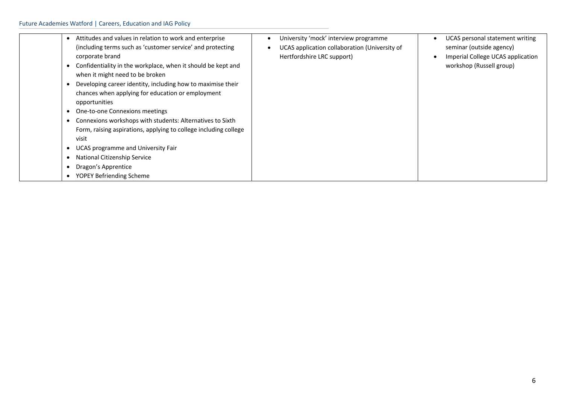| Attitudes and values in relation to work and enterprise<br>(including terms such as 'customer service' and protecting | University 'mock' interview programme<br>UCAS application collaboration (University of | UCAS personal statement writing<br>$\bullet$<br>seminar (outside agency) |
|-----------------------------------------------------------------------------------------------------------------------|----------------------------------------------------------------------------------------|--------------------------------------------------------------------------|
| corporate brand                                                                                                       | Hertfordshire LRC support)                                                             | Imperial College UCAS application<br>$\bullet$                           |
| Confidentiality in the workplace, when it should be kept and                                                          |                                                                                        | workshop (Russell group)                                                 |
| when it might need to be broken                                                                                       |                                                                                        |                                                                          |
| Developing career identity, including how to maximise their                                                           |                                                                                        |                                                                          |
| chances when applying for education or employment                                                                     |                                                                                        |                                                                          |
| opportunities                                                                                                         |                                                                                        |                                                                          |
| One-to-one Connexions meetings                                                                                        |                                                                                        |                                                                          |
| Connexions workshops with students: Alternatives to Sixth                                                             |                                                                                        |                                                                          |
| Form, raising aspirations, applying to college including college                                                      |                                                                                        |                                                                          |
| visit                                                                                                                 |                                                                                        |                                                                          |
| UCAS programme and University Fair                                                                                    |                                                                                        |                                                                          |
| National Citizenship Service                                                                                          |                                                                                        |                                                                          |
| Dragon's Apprentice                                                                                                   |                                                                                        |                                                                          |
| YOPEY Befriending Scheme                                                                                              |                                                                                        |                                                                          |